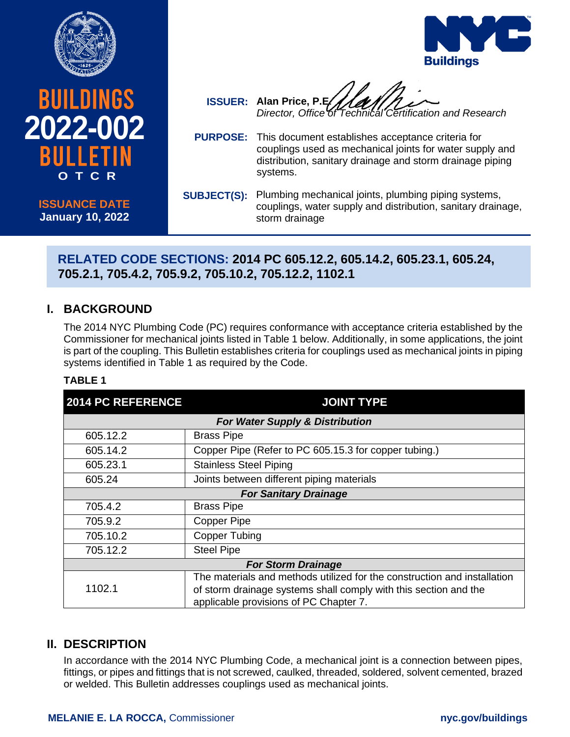

**2022-002**

**BUILDINGS** 

**ISSUANCE DATE January 10, 2022**

**O T C R**



- **ISSUER: Alan Price, P.E.** *Director, Office of Technical Certification and Research*
- **PURPOSE:** This document establishes acceptance criteria for couplings used as mechanical joints for water supply and distribution, sanitary drainage and storm drainage piping systems.
- **SUBJECT(S):** Plumbing mechanical joints, plumbing piping systems, couplings, water supply and distribution, sanitary drainage, storm drainage

# **RELATED CODE SECTIONS: 2014 PC 605.12.2, 605.14.2, 605.23.1, 605.24, 705.2.1, 705.4.2, 705.9.2, 705.10.2, 705.12.2, 1102.1**

# **I. BACKGROUND**

The 2014 NYC Plumbing Code (PC) requires conformance with acceptance criteria established by the Commissioner for mechanical joints listed in Table 1 below. Additionally, in some applications, the joint is part of the coupling. This Bulletin establishes criteria for couplings used as mechanical joints in piping systems identified in Table 1 as required by the Code.

#### **TABLE 1**

| <b>2014 PC REFERENCE</b>                   | <b>JOINT TYPE</b>                                                                                                                                                                      |
|--------------------------------------------|----------------------------------------------------------------------------------------------------------------------------------------------------------------------------------------|
| <b>For Water Supply &amp; Distribution</b> |                                                                                                                                                                                        |
| 605.12.2                                   | <b>Brass Pipe</b>                                                                                                                                                                      |
| 605.14.2                                   | Copper Pipe (Refer to PC 605.15.3 for copper tubing.)                                                                                                                                  |
| 605.23.1                                   | <b>Stainless Steel Piping</b>                                                                                                                                                          |
| 605.24                                     | Joints between different piping materials                                                                                                                                              |
| <b>For Sanitary Drainage</b>               |                                                                                                                                                                                        |
| 705.4.2                                    | <b>Brass Pipe</b>                                                                                                                                                                      |
| 705.9.2                                    | <b>Copper Pipe</b>                                                                                                                                                                     |
| 705.10.2                                   | <b>Copper Tubing</b>                                                                                                                                                                   |
| 705.12.2                                   | <b>Steel Pipe</b>                                                                                                                                                                      |
| <b>For Storm Drainage</b>                  |                                                                                                                                                                                        |
| 1102.1                                     | The materials and methods utilized for the construction and installation<br>of storm drainage systems shall comply with this section and the<br>applicable provisions of PC Chapter 7. |

### **II. DESCRIPTION**

In accordance with the 2014 NYC Plumbing Code, a mechanical joint is a connection between pipes, fittings, or pipes and fittings that is not screwed, caulked, threaded, soldered, solvent cemented, brazed or welded. This Bulletin addresses couplings used as mechanical joints.